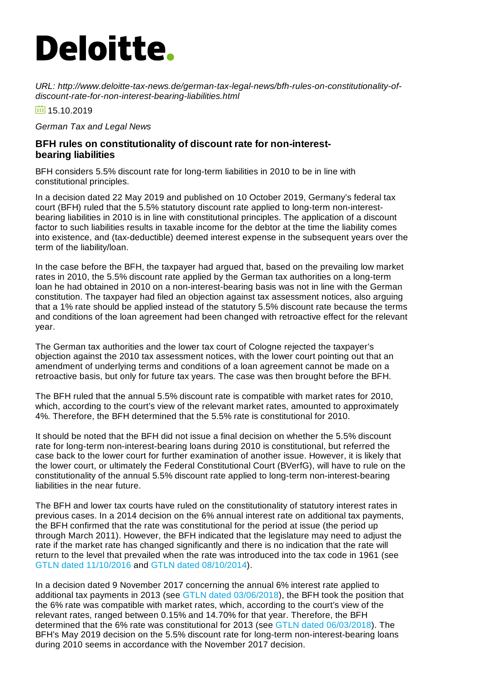## **Deloitte.**

*URL: http://www.deloitte-tax-news.de/german-tax-legal-news/bfh-rules-on-constitutionality-ofdiscount-rate-for-non-interest-bearing-liabilities.html*

 $\overline{15}$  15.10.2019

*German Tax and Legal News*

## **BFH rules on constitutionality of discount rate for non-interestbearing liabilities**

BFH considers 5.5% discount rate for long-term liabilities in 2010 to be in line with constitutional principles.

In a decision dated 22 May 2019 and published on 10 October 2019, Germany's federal tax court (BFH) ruled that the 5.5% statutory discount rate applied to long-term non-interestbearing liabilities in 2010 is in line with constitutional principles. The application of a discount factor to such liabilities results in taxable income for the debtor at the time the liability comes into existence, and (tax-deductible) deemed interest expense in the subsequent years over the term of the liability/loan.

In the case before the BFH, the taxpayer had argued that, based on the prevailing low market rates in 2010, the 5.5% discount rate applied by the German tax authorities on a long-term loan he had obtained in 2010 on a non-interest-bearing basis was not in line with the German constitution. The taxpayer had filed an objection against tax assessment notices, also arguing that a 1% rate should be applied instead of the statutory 5.5% discount rate because the terms and conditions of the loan agreement had been changed with retroactive effect for the relevant year.

The German tax authorities and the lower tax court of Cologne rejected the taxpayer's objection against the 2010 tax assessment notices, with the lower court pointing out that an amendment of underlying terms and conditions of a loan agreement cannot be made on a retroactive basis, but only for future tax years. The case was then brought before the BFH.

The BFH ruled that the annual 5.5% discount rate is compatible with market rates for 2010, which, according to the court's view of the relevant market rates, amounted to approximately 4%. Therefore, the BFH determined that the 5.5% rate is constitutional for 2010.

It should be noted that the BFH did not issue a final decision on whether the 5.5% discount rate for long-term non-interest-bearing loans during 2010 is constitutional, but referred the case back to the lower court for further examination of another issue. However, it is likely that the lower court, or ultimately the Federal Constitutional Court (BVerfG), will have to rule on the constitutionality of the annual 5.5% discount rate applied to long-term non-interest-bearing liabilities in the near future.

The BFH and lower tax courts have ruled on the constitutionality of statutory interest rates in previous cases. In a 2014 decision on the 6% annual interest rate on additional tax payments, the BFH confirmed that the rate was constitutional for the period at issue (the period up through March 2011). However, the BFH indicated that the legislature may need to adjust the rate if the market rate has changed significantly and there is no indication that the rate will return to the level that prevailed when the rate was introduced into the tax code in 1961 (see GTLN dated [11/10/2016](https://www.deloitte-tax-news.de/german-tax-legal-news/lower-tax-court-upholds-constitutionality-of-interest-rate-applicable-on-tax-payments.html) and GTLN dated [08/10/2014](https://www.deloitte-tax-news.de/german-tax-legal-news/federal-tax-court-confirms-constitutionality-of-interest-rate-applicable-to-tax-paymentsrefunds.html)).

In a decision dated 9 November 2017 concerning the annual 6% interest rate applied to additional tax payments in 2013 (see GTLN dated [03/06/2018](https://www.deloitte-tax-news.de/german-tax-legal-news/bfh-rules-on-constitutionality-of-6-interest-rate-on-tax-payments.html)), the BFH took the position that the 6% rate was compatible with market rates, which, according to the court's view of the relevant rates, ranged between 0.15% and 14.70% for that year. Therefore, the BFH determined that the 6% rate was constitutional for 2013 (see GTLN dated [06/03/2018](https://www.deloitte-tax-news.de/german-tax-legal-news/bfh-rules-on-constitutionality-of-6-interest-rate-on-tax-payments.html)). The BFH's May 2019 decision on the 5.5% discount rate for long-term non-interest-bearing loans during 2010 seems in accordance with the November 2017 decision.